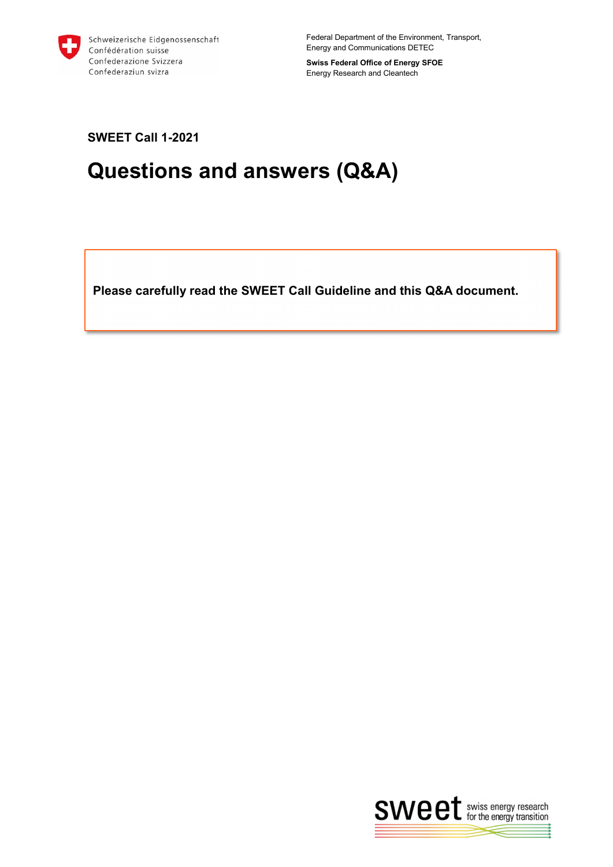

Federal Department of the Environment, Transport, Energy and Communications DETEC

**Swiss Federal Office of Energy SFOE** Energy Research and Cleantech

**SWEET Call 1-2021**

# **Questions and answers (Q&A)**

**Please carefully read the SWEET Call Guideline and this Q&A document.** 

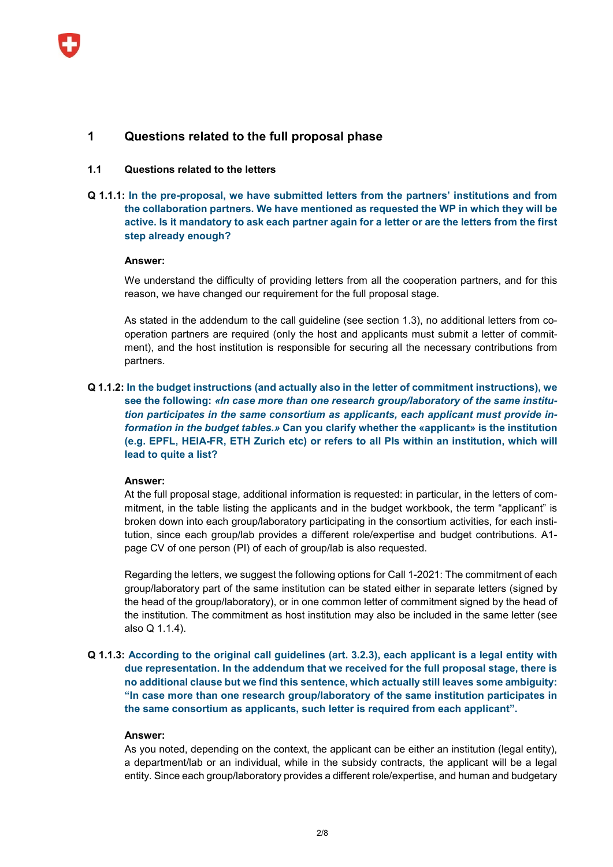

# **1 Questions related to the full proposal phase**

## **1.1 Questions related to the letters**

# **Q 1.1.1: In the pre-proposal, we have submitted letters from the partners' institutions and from the collaboration partners. We have mentioned as requested the WP in which they will be active. Is it mandatory to ask each partner again for a letter or are the letters from the first step already enough?**

## **Answer:**

We understand the difficulty of providing letters from all the cooperation partners, and for this reason, we have changed our requirement for the full proposal stage.

As stated in the addendum to the call guideline (see section 1.3), no additional letters from cooperation partners are required (only the host and applicants must submit a letter of commitment), and the host institution is responsible for securing all the necessary contributions from partners.

# **Q 1.1.2: In the budget instructions (and actually also in the letter of commitment instructions), we see the following:** *«In case more than one research group/laboratory of the same institution participates in the same consortium as applicants, each applicant must provide information in the budget tables.»* **Can you clarify whether the «applicant» is the institution (e.g. EPFL, HEIA-FR, ETH Zurich etc) or refers to all PIs within an institution, which will lead to quite a list?**

## **Answer:**

At the full proposal stage, additional information is requested: in particular, in the letters of commitment, in the table listing the applicants and in the budget workbook, the term "applicant" is broken down into each group/laboratory participating in the consortium activities, for each institution, since each group/lab provides a different role/expertise and budget contributions. A1 page CV of one person (PI) of each of group/lab is also requested.

Regarding the letters, we suggest the following options for Call 1-2021: The commitment of each group/laboratory part of the same institution can be stated either in separate letters (signed by the head of the group/laboratory), or in one common letter of commitment signed by the head of the institution. The commitment as host institution may also be included in the same letter (see also Q 1.1.4).

# **Q 1.1.3: According to the original call guidelines (art. 3.2.3), each applicant is a legal entity with due representation. In the addendum that we received for the full proposal stage, there is no additional clause but we find this sentence, which actually still leaves some ambiguity: "In case more than one research group/laboratory of the same institution participates in the same consortium as applicants, such letter is required from each applicant".**

#### **Answer:**

As you noted, depending on the context, the applicant can be either an institution (legal entity), a department/lab or an individual, while in the subsidy contracts, the applicant will be a legal entity. Since each group/laboratory provides a different role/expertise, and human and budgetary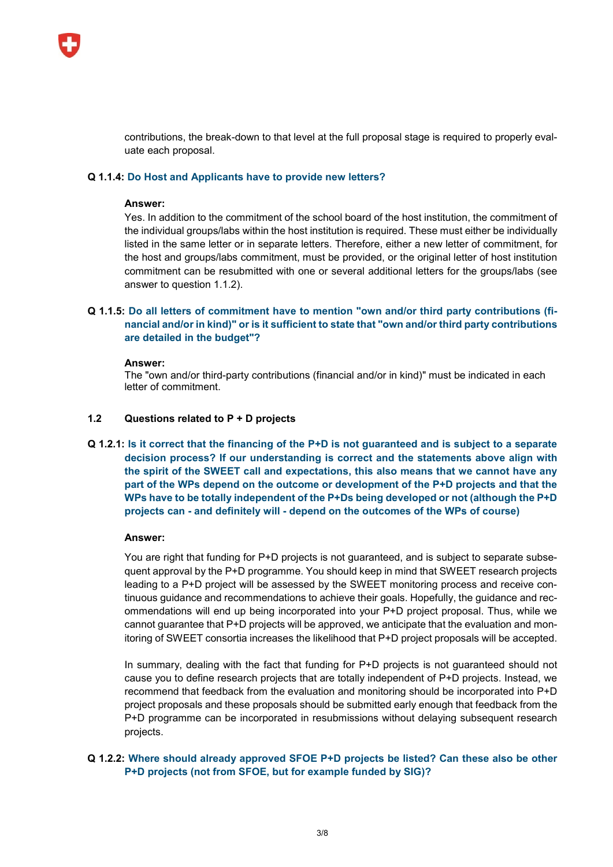

contributions, the break-down to that level at the full proposal stage is required to properly evaluate each proposal.

## **Q 1.1.4: Do Host and Applicants have to provide new letters?**

## **Answer:**

Yes. In addition to the commitment of the school board of the host institution, the commitment of the individual groups/labs within the host institution is required. These must either be individually listed in the same letter or in separate letters. Therefore, either a new letter of commitment, for the host and groups/labs commitment, must be provided, or the original letter of host institution commitment can be resubmitted with one or several additional letters for the groups/labs (see answer to question 1.1.2).

# **Q 1.1.5: Do all letters of commitment have to mention "own and/or third party contributions (financial and/or in kind)" or is it sufficient to state that "own and/or third party contributions are detailed in the budget"?**

## **Answer:**

The "own and/or third-party contributions (financial and/or in kind)" must be indicated in each letter of commitment.

## **1.2 Questions related to P + D projects**

**Q 1.2.1: Is it correct that the financing of the P+D is not guaranteed and is subject to a separate decision process? If our understanding is correct and the statements above align with the spirit of the SWEET call and expectations, this also means that we cannot have any part of the WPs depend on the outcome or development of the P+D projects and that the WPs have to be totally independent of the P+Ds being developed or not (although the P+D projects can - and definitely will - depend on the outcomes of the WPs of course)**

## **Answer:**

You are right that funding for P+D projects is not guaranteed, and is subject to separate subsequent approval by the P+D programme. You should keep in mind that SWEET research projects leading to a P+D project will be assessed by the SWEET monitoring process and receive continuous guidance and recommendations to achieve their goals. Hopefully, the guidance and recommendations will end up being incorporated into your P+D project proposal. Thus, while we cannot guarantee that P+D projects will be approved, we anticipate that the evaluation and monitoring of SWEET consortia increases the likelihood that P+D project proposals will be accepted.

In summary, dealing with the fact that funding for P+D projects is not guaranteed should not cause you to define research projects that are totally independent of P+D projects. Instead, we recommend that feedback from the evaluation and monitoring should be incorporated into P+D project proposals and these proposals should be submitted early enough that feedback from the P+D programme can be incorporated in resubmissions without delaying subsequent research projects.

# **Q 1.2.2: Where should already approved SFOE P+D projects be listed? Can these also be other P+D projects (not from SFOE, but for example funded by SIG)?**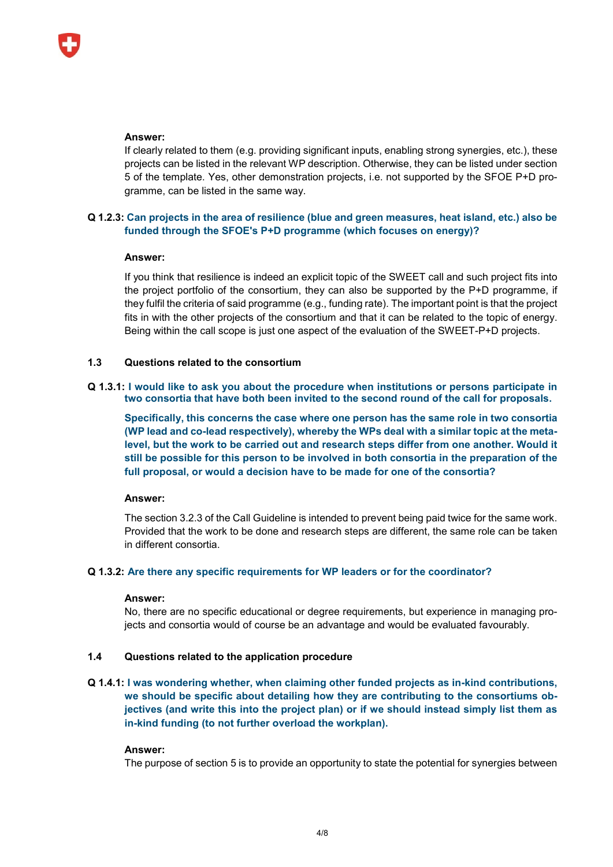## **Answer:**

If clearly related to them (e.g. providing significant inputs, enabling strong synergies, etc.), these projects can be listed in the relevant WP description. Otherwise, they can be listed under section 5 of the template. Yes, other demonstration projects, i.e. not supported by the SFOE P+D programme, can be listed in the same way.

# **Q 1.2.3: Can projects in the area of resilience (blue and green measures, heat island, etc.) also be funded through the SFOE's P+D programme (which focuses on energy)?**

# **Answer:**

If you think that resilience is indeed an explicit topic of the SWEET call and such project fits into the project portfolio of the consortium, they can also be supported by the P+D programme, if they fulfil the criteria of said programme (e.g., funding rate). The important point is that the project fits in with the other projects of the consortium and that it can be related to the topic of energy. Being within the call scope is just one aspect of the evaluation of the SWEET-P+D projects.

# **1.3 Questions related to the consortium**

# **Q 1.3.1: I would like to ask you about the procedure when institutions or persons participate in two consortia that have both been invited to the second round of the call for proposals.**

**Specifically, this concerns the case where one person has the same role in two consortia (WP lead and co-lead respectively), whereby the WPs deal with a similar topic at the metalevel, but the work to be carried out and research steps differ from one another. Would it still be possible for this person to be involved in both consortia in the preparation of the full proposal, or would a decision have to be made for one of the consortia?**

# **Answer:**

The section 3.2.3 of the Call Guideline is intended to prevent being paid twice for the same work. Provided that the work to be done and research steps are different, the same role can be taken in different consortia.

# **Q 1.3.2: Are there any specific requirements for WP leaders or for the coordinator?**

## **Answer:**

No, there are no specific educational or degree requirements, but experience in managing projects and consortia would of course be an advantage and would be evaluated favourably.

# **1.4 Questions related to the application procedure**

# **Q 1.4.1: I was wondering whether, when claiming other funded projects as in-kind contributions, we should be specific about detailing how they are contributing to the consortiums objectives (and write this into the project plan) or if we should instead simply list them as in-kind funding (to not further overload the workplan).**

## **Answer:**

The purpose of section 5 is to provide an opportunity to state the potential for synergies between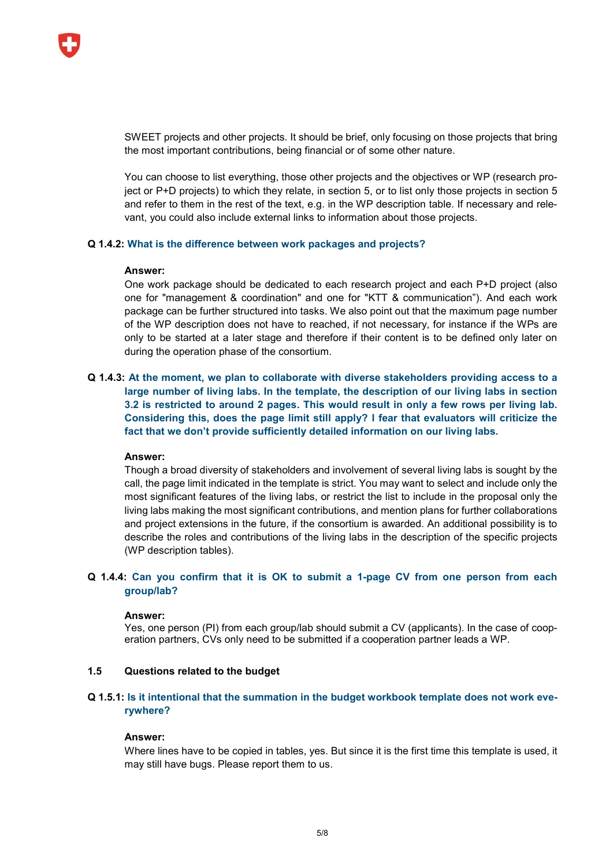

SWEET projects and other projects. It should be brief, only focusing on those projects that bring the most important contributions, being financial or of some other nature.

You can choose to list everything, those other projects and the objectives or WP (research project or P+D projects) to which they relate, in section 5, or to list only those projects in section 5 and refer to them in the rest of the text, e.g. in the WP description table. If necessary and relevant, you could also include external links to information about those projects.

## **Q 1.4.2: What is the difference between work packages and projects?**

## **Answer:**

One work package should be dedicated to each research project and each P+D project (also one for "management & coordination" and one for "KTT & communication"). And each work package can be further structured into tasks. We also point out that the maximum page number of the WP description does not have to reached, if not necessary, for instance if the WPs are only to be started at a later stage and therefore if their content is to be defined only later on during the operation phase of the consortium.

**Q 1.4.3: At the moment, we plan to collaborate with diverse stakeholders providing access to a large number of living labs. In the template, the description of our living labs in section 3.2 is restricted to around 2 pages. This would result in only a few rows per living lab. Considering this, does the page limit still apply? I fear that evaluators will criticize the fact that we don't provide sufficiently detailed information on our living labs.** 

## **Answer:**

Though a broad diversity of stakeholders and involvement of several living labs is sought by the call, the page limit indicated in the template is strict. You may want to select and include only the most significant features of the living labs, or restrict the list to include in the proposal only the living labs making the most significant contributions, and mention plans for further collaborations and project extensions in the future, if the consortium is awarded. An additional possibility is to describe the roles and contributions of the living labs in the description of the specific projects (WP description tables).

# **Q 1.4.4: Can you confirm that it is OK to submit a 1-page CV from one person from each group/lab?**

#### **Answer:**

Yes, one person (PI) from each group/lab should submit a CV (applicants). In the case of cooperation partners, CVs only need to be submitted if a cooperation partner leads a WP.

# **1.5 Questions related to the budget**

# **Q 1.5.1: Is it intentional that the summation in the budget workbook template does not work everywhere?**

#### **Answer:**

Where lines have to be copied in tables, yes. But since it is the first time this template is used, it may still have bugs. Please report them to us.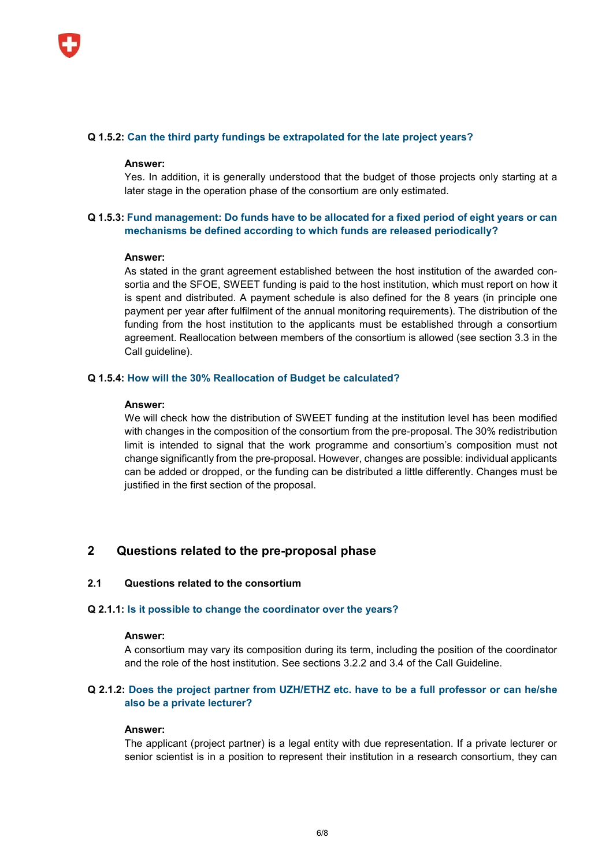

## **Q 1.5.2: Can the third party fundings be extrapolated for the late project years?**

#### **Answer:**

Yes. In addition, it is generally understood that the budget of those projects only starting at a later stage in the operation phase of the consortium are only estimated.

# **Q 1.5.3: Fund management: Do funds have to be allocated for a fixed period of eight years or can mechanisms be defined according to which funds are released periodically?**

## **Answer:**

As stated in the grant agreement established between the host institution of the awarded consortia and the SFOE, SWEET funding is paid to the host institution, which must report on how it is spent and distributed. A payment schedule is also defined for the 8 years (in principle one payment per year after fulfilment of the annual monitoring requirements). The distribution of the funding from the host institution to the applicants must be established through a consortium agreement. Reallocation between members of the consortium is allowed (see section 3.3 in the Call guideline).

## **Q 1.5.4: How will the 30% Reallocation of Budget be calculated?**

#### **Answer:**

We will check how the distribution of SWEET funding at the institution level has been modified with changes in the composition of the consortium from the pre-proposal. The 30% redistribution limit is intended to signal that the work programme and consortium's composition must not change significantly from the pre-proposal. However, changes are possible: individual applicants can be added or dropped, or the funding can be distributed a little differently. Changes must be justified in the first section of the proposal.

# **2 Questions related to the pre-proposal phase**

# **2.1 Questions related to the consortium**

#### **Q 2.1.1: Is it possible to change the coordinator over the years?**

## **Answer:**

A consortium may vary its composition during its term, including the position of the coordinator and the role of the host institution. See sections 3.2.2 and 3.4 of the Call Guideline.

# **Q 2.1.2: Does the project partner from UZH/ETHZ etc. have to be a full professor or can he/she also be a private lecturer?**

## **Answer:**

The applicant (project partner) is a legal entity with due representation. If a private lecturer or senior scientist is in a position to represent their institution in a research consortium, they can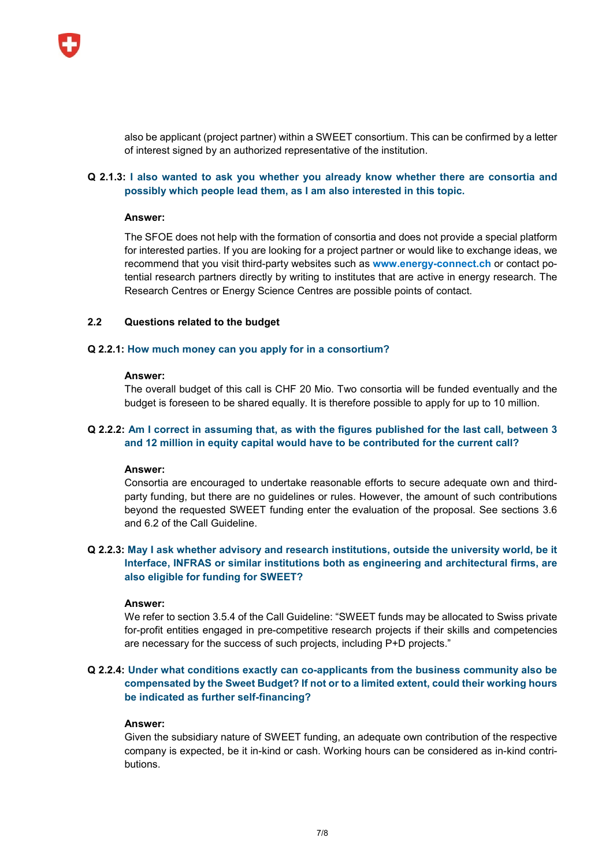

also be applicant (project partner) within a SWEET consortium. This can be confirmed by a letter of interest signed by an authorized representative of the institution.

# **Q 2.1.3: I also wanted to ask you whether you already know whether there are consortia and possibly which people lead them, as I am also interested in this topic.**

## **Answer:**

The SFOE does not help with the formation of consortia and does not provide a special platform for interested parties. If you are looking for a project partner or would like to exchange ideas, we recommend that you visit third-party websites such as **www.energy-connect.ch** or contact potential research partners directly by writing to institutes that are active in energy research. The Research Centres or Energy Science Centres are possible points of contact.

# **2.2 Questions related to the budget**

## **Q 2.2.1: How much money can you apply for in a consortium?**

#### **Answer:**

The overall budget of this call is CHF 20 Mio. Two consortia will be funded eventually and the budget is foreseen to be shared equally. It is therefore possible to apply for up to 10 million.

# **Q 2.2.2: Am I correct in assuming that, as with the figures published for the last call, between 3 and 12 million in equity capital would have to be contributed for the current call?**

## **Answer:**

Consortia are encouraged to undertake reasonable efforts to secure adequate own and thirdparty funding, but there are no guidelines or rules. However, the amount of such contributions beyond the requested SWEET funding enter the evaluation of the proposal. See sections 3.6 and 6.2 of the Call Guideline.

# **Q 2.2.3: May I ask whether advisory and research institutions, outside the university world, be it Interface, INFRAS or similar institutions both as engineering and architectural firms, are also eligible for funding for SWEET?**

## **Answer:**

We refer to section 3.5.4 of the Call Guideline: "SWEET funds may be allocated to Swiss private for-profit entities engaged in pre-competitive research projects if their skills and competencies are necessary for the success of such projects, including P+D projects."

# **Q 2.2.4: Under what conditions exactly can co-applicants from the business community also be compensated by the Sweet Budget? If not or to a limited extent, could their working hours be indicated as further self-financing?**

#### **Answer:**

Given the subsidiary nature of SWEET funding, an adequate own contribution of the respective company is expected, be it in-kind or cash. Working hours can be considered as in-kind contributions.